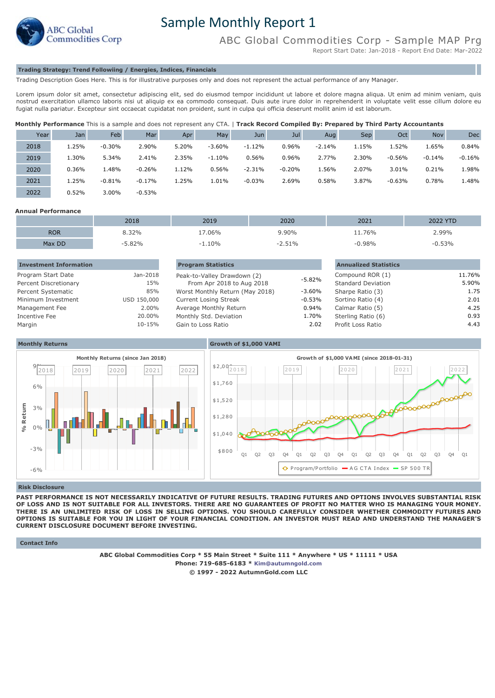

# Sample Monthly Report 1

ABC Global Commodities Corp - Sample MAP Prg

Report Start Date: Jan-2018 - Report End Date: Mar-2022

# **Trading Strategy: Trend Followiing / Energies, Indices, Financials**

Trading Description Goes Here. This is for illustrative purposes only and does not represent the actual performance of any Manager.

Lorem ipsum dolor sit amet, consectetur adipiscing elit, sed do eiusmod tempor incididunt ut labore et dolore magna aliqua. Ut enim ad minim veniam, quis nostrud exercitation ullamco laboris nisi ut aliquip ex ea commodo consequat. Duis aute irure dolor in reprehenderit in voluptate velit esse cillum dolore eu fugiat nulla pariatur. Excepteur sint occaecat cupidatat non proident, sunt in culpa qui officia deserunt mollit anim id est laborum.

|  |  |  | Monthly Performance This is a sample and does not represent any CTA.   Track Record Compiled By: Prepared by Third Party Accountants |  |  |  |
|--|--|--|--------------------------------------------------------------------------------------------------------------------------------------|--|--|--|
|  |  |  |                                                                                                                                      |  |  |  |

| Year | Jan   | Feb      | Mar      | Apr   | May      | Jun      | Jul      | Aug      | <b>Sep</b> | Oct      | <b>Nov</b> | Dec      |
|------|-------|----------|----------|-------|----------|----------|----------|----------|------------|----------|------------|----------|
| 2018 | 1.25% | $-0.30%$ | 2.90%    | 5.20% | $-3.60%$ | $-1.12%$ | 0.96%    | $-2.14%$ | 15%        | 1.52%    | 5%،1       | 0.84%    |
| 2019 | 1.30% | 5.34%    | 2.41%    | 2.35% | $-1.10%$ | 0.56%    | 0.96%    | 2.77%    | 2.30%      | $-0.56%$ | $-0.14%$   | $-0.16%$ |
| 2020 | 0.36% | 1.48%    | $-0.26%$ | 1.12% | 0.56%    | $-2.31%$ | $-0.20%$ | 1.56%    | 2.07%      | 3.01%    | 0.21%      | 1.98%    |
| 2021 | 1.25% | $-0.81%$ | $-0.17%$ | 1.25% | 1.01%    | $-0.03%$ | 2.69%    | 0.58%    | 3.87%      | $-0.63%$ | 0.78%      | 1.48%    |
| 2022 | 0.52% | 3.00%    | $-0.53%$ |       |          |          |          |          |            |          |            |          |

## **Annual Performance**

|            | 2018  | 2019    | 2020            | 2021   | 2022 YTD |
|------------|-------|---------|-----------------|--------|----------|
| <b>ROR</b> | 3.32% | $.06\%$ | 9.90%           | -1.76% | 2.99%    |
| Max DD     | 5.82% | 1.10%   | 51%<br>∿/ ⊥ل ہے | 0.98%  | 0.53%    |

| <b>Investment Information</b> |             | <b>Program Statistics</b>       |           | <b>Annualized Statistics</b> |        |
|-------------------------------|-------------|---------------------------------|-----------|------------------------------|--------|
| Program Start Date            | Jan-2018    | Peak-to-Valley Drawdown (2)     |           | Compound ROR (1)             | 11.76% |
| Percent Discretionary         | 15%         | From Apr 2018 to Aug 2018       | $-5.82%$  | <b>Standard Deviation</b>    | 5.90%  |
| Percent Systematic            | 85%         | Worst Monthly Return (May 2018) | -3.60%    | Sharpe Ratio (3)             | 1.75   |
| Minimum Investment            | USD 150,000 | <b>Current Losing Streak</b>    | $-0.53\%$ | Sortino Ratio (4)            | 2.01   |
| Management Fee                | 2.00%       | Average Monthly Return          | 0.94%     | Calmar Ratio (5)             | 4.25   |
| Incentive Fee                 | 20.00%      | Monthly Std. Deviation          | 1.70%     | Sterling Ratio (6)           | 0.93   |
| Margin                        | 10-15%      | Gain to Loss Ratio              | 2.02      | Profit Loss Ratio            | 4.43   |



#### **Risk Disclosure**

**PAST PERFORMANCE IS NOT NECESSARILY INDICATIVE OF FUTURE RESULTS. TRADING FUTURES AND OPTIONS INVOLVES SUBSTANTIAL RISK OF LOSS AND IS NOT SUITABLE FOR ALL INVESTORS. THERE ARE NO GUARANTEES OF PROFIT NO MATTER WHO IS MANAGING YOUR MONEY. THERE IS AN UNLIMITED RISK OF LOSS IN SELLING OPTIONS. YOU SHOULD CAREFULLY CONSIDER WHETHER COMMODITY FUTURES AND OPTIONS IS SUITABLE FOR YOU IN LIGHT OF YOUR FINANCIAL CONDITION. AN INVESTOR MUST READ AND UNDERSTAND THE MANAGER'S CURRENT DISCLOSURE DOCUMENT BEFORE INVESTING.**

 **Contact Info**

**ABC Global Commodities Corp \* 55 Main Street \* Suite 111 \* Anywhere \* US \* 11111 \* USA Phone: 719-685-6183 \* [Kim@autumngold.com](mailto:Kim@autumngold.com) © 1997 - 2022 AutumnGold.com LLC**